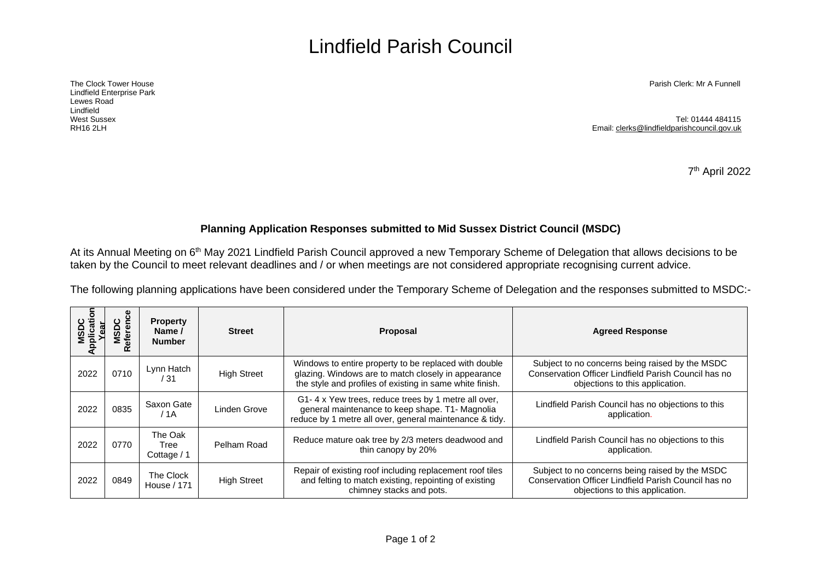## Lindfield Parish Council

Lindfield Enterprise Park Lewes Road Lindfield<br>West Sussex

The Clock Tower House Parish Clerk: Mr A Funnell

West Sussex Tel: 01444 484115 RH16 2LH Email[: clerks@lindfieldparishcouncil.gov.uk](mailto:clerks@lindfieldparishcouncil.gov.uk)

7 th April 2022

## **Planning Application Responses submitted to Mid Sussex District Council (MSDC)**

At its Annual Meeting on 6<sup>th</sup> May 2021 Lindfield Parish Council approved a new Temporary Scheme of Delegation that allows decisions to be taken by the Council to meet relevant deadlines and / or when meetings are not considered appropriate recognising current advice.

The following planning applications have been considered under the Temporary Scheme of Delegation and the responses submitted to MSDC:-

| MSDC<br>Application<br>Year | eference<br>SDC<br>œ | <b>Property</b><br>Name /<br><b>Number</b> | <b>Street</b>      | Proposal                                                                                                                                                                 | <b>Agreed Response</b>                                                                                                                     |
|-----------------------------|----------------------|--------------------------------------------|--------------------|--------------------------------------------------------------------------------------------------------------------------------------------------------------------------|--------------------------------------------------------------------------------------------------------------------------------------------|
| 2022                        | 0710                 | Lynn Hatch<br>/ 31                         | <b>High Street</b> | Windows to entire property to be replaced with double<br>glazing. Windows are to match closely in appearance<br>the style and profiles of existing in same white finish. | Subject to no concerns being raised by the MSDC<br>Conservation Officer Lindfield Parish Council has no<br>objections to this application. |
| 2022                        | 0835                 | Saxon Gate<br>/ 1A                         | Linden Grove       | G1-4 x Yew trees, reduce trees by 1 metre all over,<br>general maintenance to keep shape. T1- Magnolia<br>reduce by 1 metre all over, general maintenance & tidy.        | Lindfield Parish Council has no objections to this<br>application.                                                                         |
| 2022                        | 0770                 | The Oak<br>Tree<br>Cottage / 1             | Pelham Road        | Reduce mature oak tree by 2/3 meters deadwood and<br>thin canopy by 20%                                                                                                  | Lindfield Parish Council has no objections to this<br>application.                                                                         |
| 2022                        | 0849                 | The Clock<br>House / 171                   | <b>High Street</b> | Repair of existing roof including replacement roof tiles<br>and felting to match existing, repointing of existing<br>chimney stacks and pots.                            | Subject to no concerns being raised by the MSDC<br>Conservation Officer Lindfield Parish Council has no<br>objections to this application. |